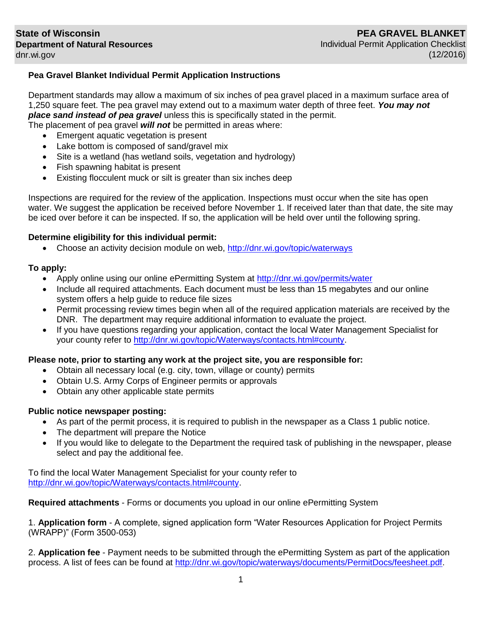# **Pea Gravel Blanket Individual Permit Application Instructions**

Department standards may allow a maximum of six inches of pea gravel placed in a maximum surface area of 1,250 square feet. The pea gravel may extend out to a maximum water depth of three feet. *You may not place sand instead of pea gravel* unless this is specifically stated in the permit.

The placement of pea gravel *will not* be permitted in areas where:

- Emergent aquatic vegetation is present
- Lake bottom is composed of sand/gravel mix
- Site is a wetland (has wetland soils, vegetation and hydrology)
- Fish spawning habitat is present
- Existing flocculent muck or silt is greater than six inches deep

Inspections are required for the review of the application. Inspections must occur when the site has open water. We suggest the application be received before November 1. If received later than that date, the site may be iced over before it can be inspected. If so, the application will be held over until the following spring.

### **Determine eligibility for this individual permit:**

Choose an activity decision module on web,<http://dnr.wi.gov/topic/waterways>

# **To apply:**

- Apply online using our online ePermitting System at<http://dnr.wi.gov/permits/water>
- Include all required attachments. Each document must be less than 15 megabytes and our online system offers a help guide to reduce file sizes
- Permit processing review times begin when all of the required application materials are received by the DNR. The department may require additional information to evaluate the project.
- If you have questions regarding your application, contact the local Water Management Specialist for your county refer to [http://dnr.wi.gov/topic/Waterways/contacts.html#county.](http://dnr.wi.gov/topic/Waterways/contacts.html#county)

#### **Please note, prior to starting any work at the project site, you are responsible for:**

- Obtain all necessary local (e.g. city, town, village or county) permits
- Obtain U.S. Army Corps of Engineer permits or approvals
- Obtain any other applicable state permits

# **Public notice newspaper posting:**

- As part of the permit process, it is required to publish in the newspaper as a Class 1 public notice.
- The department will prepare the Notice
- If you would like to delegate to the Department the required task of publishing in the newspaper, please select and pay the additional fee.

To find the local Water Management Specialist for your county refer to [http://dnr.wi.gov/topic/Waterways/contacts.html#county.](http://dnr.wi.gov/topic/Waterways/contacts.html#county)

**Required attachments** - Forms or documents you upload in our online ePermitting System

1. **Application form** - A complete, signed application form "Water Resources Application for Project Permits (WRAPP)" (Form 3500-053)

2. **Application fee** - Payment needs to be submitted through the ePermitting System as part of the application process. A list of fees can be found at [http://dnr.wi.gov/topic/waterways/documents/PermitDocs/feesheet.pdf.](http://dnr.wi.gov/topic/waterways/documents/PermitDocs/feesheet.pdf)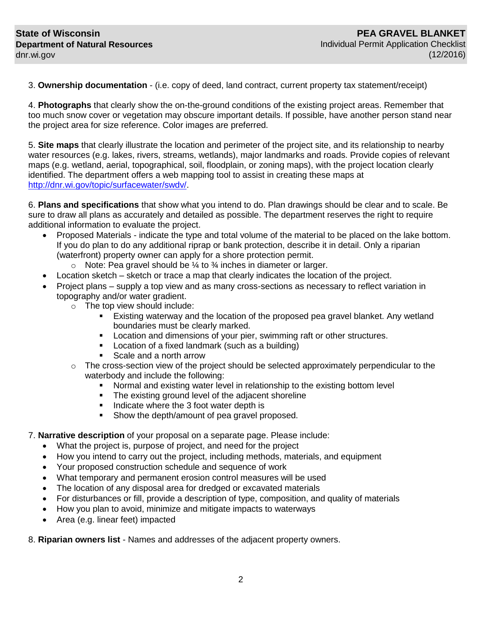3. **Ownership documentation** - (i.e. copy of deed, land contract, current property tax statement/receipt)

4. **Photographs** that clearly show the on-the-ground conditions of the existing project areas. Remember that too much snow cover or vegetation may obscure important details. If possible, have another person stand near the project area for size reference. Color images are preferred.

5. **Site maps** that clearly illustrate the location and perimeter of the project site, and its relationship to nearby water resources (e.g. lakes, rivers, streams, wetlands), major landmarks and roads. Provide copies of relevant maps (e.g. wetland, aerial, topographical, soil, floodplain, or zoning maps), with the project location clearly identified. The department offers a web mapping tool to assist in creating these maps at [http://dnr.wi.gov/topic/surfacewater/swdv/.](http://dnr.wi.gov/topic/surfacewater/swdv/)

6. **Plans and specifications** that show what you intend to do. Plan drawings should be clear and to scale. Be sure to draw all plans as accurately and detailed as possible. The department reserves the right to require additional information to evaluate the project.

- Proposed Materials indicate the type and total volume of the material to be placed on the lake bottom. If you do plan to do any additional riprap or bank protection, describe it in detail. Only a riparian (waterfront) property owner can apply for a shore protection permit.
	- $\circ$  Note: Pea gravel should be  $\frac{1}{4}$  to  $\frac{3}{4}$  inches in diameter or larger.
- Location sketch sketch or trace a map that clearly indicates the location of the project.
- Project plans supply a top view and as many cross-sections as necessary to reflect variation in topography and/or water gradient.
	- o The top view should include:
		- Existing waterway and the location of the proposed pea gravel blanket. Any wetland boundaries must be clearly marked.
		- **Location and dimensions of your pier, swimming raft or other structures.**
		- **Location of a fixed landmark (such as a building)**
		- Scale and a north arrow
	- $\circ$  The cross-section view of the project should be selected approximately perpendicular to the waterbody and include the following:
		- Normal and existing water level in relationship to the existing bottom level
		- The existing ground level of the adjacent shoreline
		- Indicate where the 3 foot water depth is
		- **Show the depth/amount of pea gravel proposed.**

#### 7. **Narrative description** of your proposal on a separate page. Please include:

- What the project is, purpose of project, and need for the project
- How you intend to carry out the project, including methods, materials, and equipment
- Your proposed construction schedule and sequence of work
- What temporary and permanent erosion control measures will be used
- The location of any disposal area for dredged or excavated materials
- For disturbances or fill, provide a description of type, composition, and quality of materials
- How you plan to avoid, minimize and mitigate impacts to waterways
- Area (e.g. linear feet) impacted

8. **Riparian owners list** - Names and addresses of the adjacent property owners.